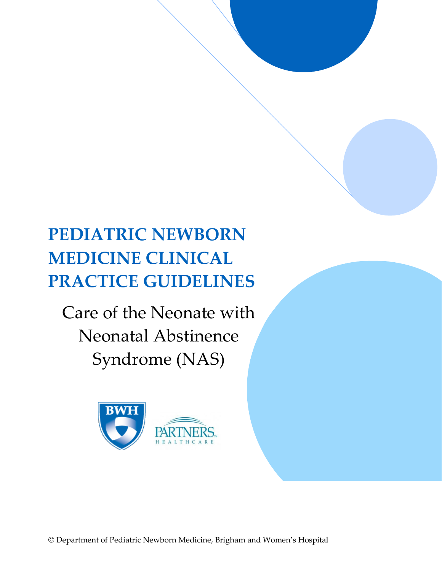# **PEDIATRIC NEWBORN MEDICINE CLINICAL PRACTICE GUIDELINES**

Care of the Neonate with Neonatal Abstinence Syndrome (NAS)

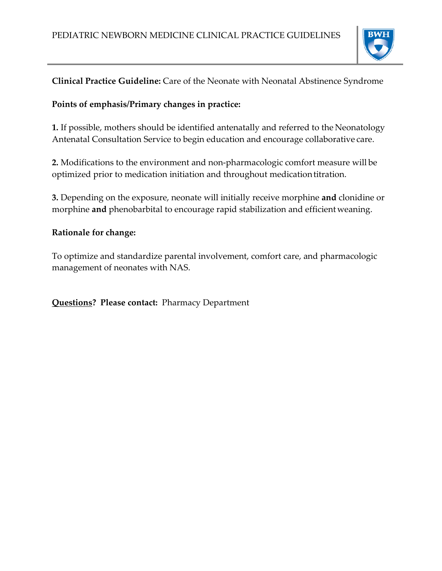

# **Clinical Practice Guideline:** Care of the Neonate with Neonatal Abstinence Syndrome

# **Points of emphasis/Primary changes in practice:**

**1.** If possible, mothers should be identified antenatally and referred to the Neonatology Antenatal Consultation Service to begin education and encourage collaborative care.

**2.** Modifications to the environment and non-pharmacologic comfort measure will be optimized prior to medication initiation and throughout medication titration.

**3.** Depending on the exposure, neonate will initially receive morphine **and** clonidine or morphine **and** phenobarbital to encourage rapid stabilization and efficient weaning.

### **Rationale for change:**

To optimize and standardize parental involvement, comfort care, and pharmacologic management of neonates with NAS.

**Questions? Please contact:** Pharmacy Department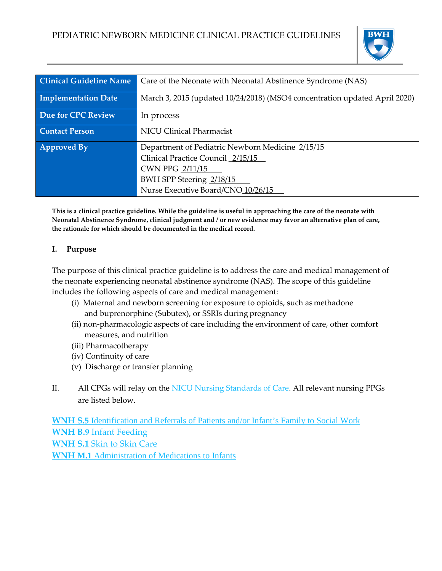

| <b>Clinical Guideline Name</b> | Care of the Neonate with Neonatal Abstinence Syndrome (NAS)                                                                                                                       |
|--------------------------------|-----------------------------------------------------------------------------------------------------------------------------------------------------------------------------------|
| <b>Implementation Date</b>     | March 3, 2015 (updated 10/24/2018) (MSO4 concentration updated April 2020)                                                                                                        |
| Due for CPC Review             | In process                                                                                                                                                                        |
| <b>Contact Person</b>          | NICU Clinical Pharmacist                                                                                                                                                          |
| <b>Approved By</b>             | Department of Pediatric Newborn Medicine 2/15/15<br>Clinical Practice Council 2/15/15<br><b>CWN PPG 2/11/15</b><br>BWH SPP Steering 2/18/15<br>Nurse Executive Board/CNO 10/26/15 |

**This is a clinical practice guideline. While the guideline is useful in approaching the care of the neonate with Neonatal Abstinence Syndrome, clinical judgment and / or new evidence may favor an alternative plan of care, the rationale for which should be documented in the medical record.**

#### **I. Purpose**

The purpose of this clinical practice guideline is to address the care and medical management of the neonate experiencing neonatal abstinence syndrome (NAS). The scope of this guideline includes the following aspects of care and medical management:

- (i) Maternal and newborn screening for exposure to opioids, such as methadone and buprenorphine (Subutex), or SSRIs during pregnancy
- (ii) non-pharmacologic aspects of care including the environment of care, other comfort measures, and nutrition
- (iii) Pharmacotherapy
- (iv) Continuity of care
- (v) Discharge or transfer planning
- II. All CPGs will relay on the **NICU Nursing Standards of Care**. All relevant nursing PPGs are listed below.

**WNH S.5** [Identification and Referrals of Patients and/or Infant's Family to Social Work](http://www.bwhpikenotes.org/policies/Nursing/CWN_Clinical_Practice_Manual/WNH/WNH_S.5.pdf) **WNH B.9** [Infant Feeding](http://www.bwhpikenotes.org/policies/Nursing/CWN_Clinical_Practice_Manual/WNH/WNH_B.9.pdf) **WNH S.1** [Skin to Skin Care](http://www.bwhpikenotes.org/policies/Nursing/CWN_Clinical_Practice_Manual/WNH/WNH_S.1.pdf) **WNH M.1** [Administration of Medications to Infants](http://www.bwhpikenotes.org/policies/Nursing/CWN_Clinical_Practice_Manual/WNH/WNH_M.1.pdf)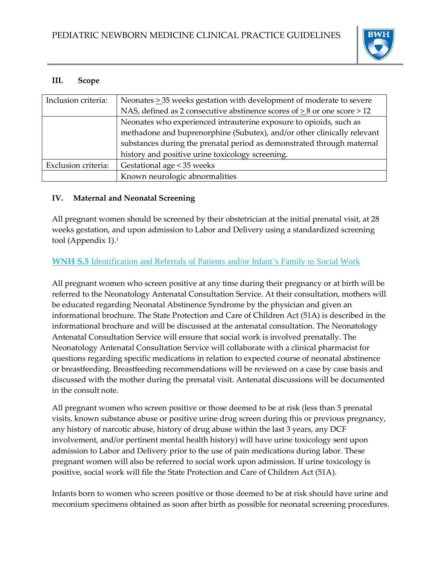

#### **III. Scope**

| Inclusion criteria: | Neonates $\geq$ 35 weeks gestation with development of moderate to severe       |  |
|---------------------|---------------------------------------------------------------------------------|--|
|                     | NAS, defined as 2 consecutive abstinence scores of $\geq$ 8 or one score $>$ 12 |  |
|                     | Neonates who experienced intrauterine exposure to opioids, such as              |  |
|                     | methadone and buprenorphine (Subutex), and/or other clinically relevant         |  |
|                     | substances during the prenatal period as demonstrated through maternal          |  |
|                     | history and positive urine toxicology screening.                                |  |
| Exclusion criteria: | Gestational age < 35 weeks                                                      |  |
|                     | Known neurologic abnormalities                                                  |  |

#### **IV. Maternal and Neonatal Screening**

All pregnant women should be screened by their obstetrician at the initial prenatal visit, at 28 weeks gestation, and upon admission to Labor and Delivery using a standardized screening tool (Appendix 1).1

#### **WNH S.5** [Identification and Referrals of Patients and/or Infant's Family to Social Work](http://www.bwhpikenotes.org/policies/Nursing/CWN_Clinical_Practice_Manual/WNH/WNH_S.5.pdf)

All pregnant women who screen positive at any time during their pregnancy or at birth will be referred to the Neonatology Antenatal Consultation Service. At their consultation, mothers will be educated regarding Neonatal Abstinence Syndrome by the physician and given an informational brochure. The State Protection and Care of Children Act (51A) is described in the informational brochure and will be discussed at the antenatal consultation. The Neonatology Antenatal Consultation Service will ensure that social work is involved prenatally. The Neonatology Antenatal Consultation Service will collaborate with a clinical pharmacist for questions regarding specific medications in relation to expected course of neonatal abstinence or breastfeeding. Breastfeeding recommendations will be reviewed on a case by case basis and discussed with the mother during the prenatal visit. Antenatal discussions will be documented in the consult note.

All pregnant women who screen positive or those deemed to be at risk (less than 5 prenatal visits, known substance abuse or positive urine drug screen during this or previous pregnancy, any history of narcotic abuse, history of drug abuse within the last 3 years, any DCF involvement, and/or pertinent mental health history) will have urine toxicology sent upon admission to Labor and Delivery prior to the use of pain medications during labor. These pregnant women will also be referred to social work upon admission. If urine toxicology is positive, social work will file the State Protection and Care of Children Act (51A).

Infants born to women who screen positive or those deemed to be at risk should have urine and meconium specimens obtained as soon after birth as possible for neonatal screening procedures.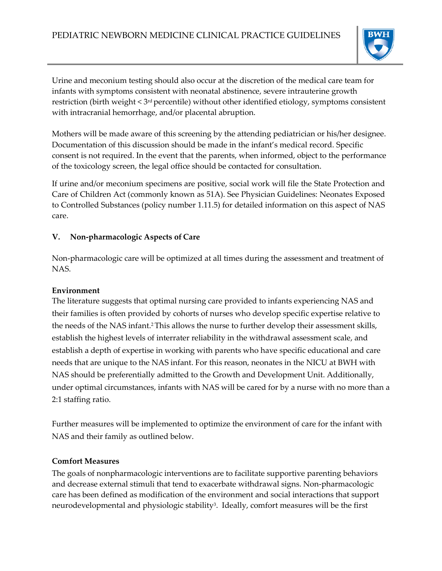

Urine and meconium testing should also occur at the discretion of the medical care team for infants with symptoms consistent with neonatal abstinence, severe intrauterine growth restriction (birth weight < 3rd percentile) without other identified etiology, symptoms consistent with intracranial hemorrhage, and/or placental abruption.

Mothers will be made aware of this screening by the attending pediatrician or his/her designee. Documentation of this discussion should be made in the infant's medical record. Specific consent is not required. In the event that the parents, when informed, object to the performance of the toxicology screen, the legal office should be contacted for consultation.

If urine and/or meconium specimens are positive, social work will file the State Protection and Care of Children Act (commonly known as 51A). See Physician Guidelines: Neonates Exposed to Controlled Substances (policy number 1.11.5) for detailed information on this aspect of NAS care.

#### **V. Non-pharmacologic Aspects of Care**

Non-pharmacologic care will be optimized at all times during the assessment and treatment of NAS.

#### **Environment**

The literature suggests that optimal nursing care provided to infants experiencing NAS and their families is often provided by cohorts of nurses who develop specific expertise relative to the needs of the NAS infant.2 This allows the nurse to further develop their assessment skills, establish the highest levels of interrater reliability in the withdrawal assessment scale, and establish a depth of expertise in working with parents who have specific educational and care needs that are unique to the NAS infant. For this reason, neonates in the NICU at BWH with NAS should be preferentially admitted to the Growth and Development Unit. Additionally, under optimal circumstances, infants with NAS will be cared for by a nurse with no more than a 2:1 staffing ratio.

Further measures will be implemented to optimize the environment of care for the infant with NAS and their family as outlined below.

#### **Comfort Measures**

The goals of nonpharmacologic interventions are to facilitate supportive parenting behaviors and decrease external stimuli that tend to exacerbate withdrawal signs. Non-pharmacologic care has been defined as modification of the environment and social interactions that support neurodevelopmental and physiologic stability<sup>3</sup>. Ideally, comfort measures will be the first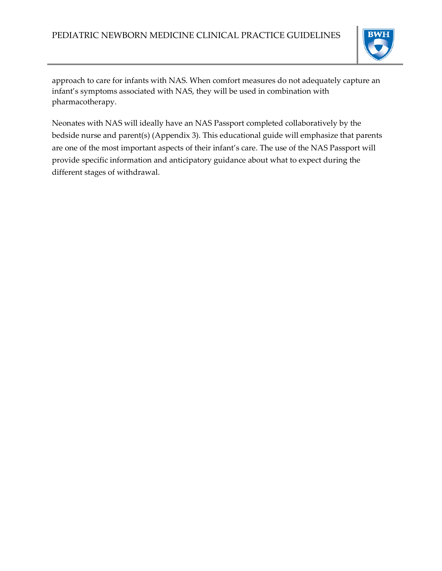

approach to care for infants with NAS. When comfort measures do not adequately capture an infant's symptoms associated with NAS, they will be used in combination with pharmacotherapy.

Neonates with NAS will ideally have an NAS Passport completed collaboratively by the bedside nurse and parent(s) (Appendix 3). This educational guide will emphasize that parents are one of the most important aspects of their infant's care. The use of the NAS Passport will provide specific information and anticipatory guidance about what to expect during the different stages of withdrawal.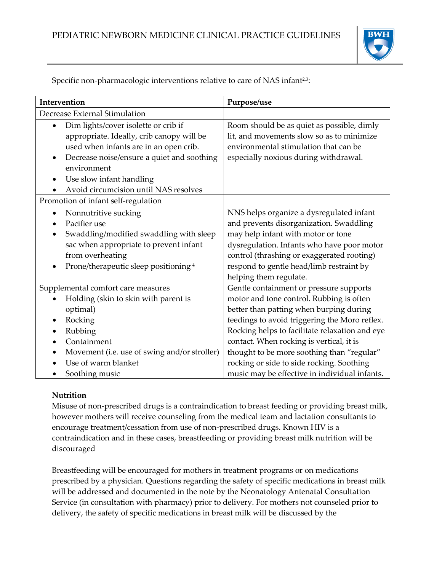

| Intervention                                            | Purpose/use                                    |
|---------------------------------------------------------|------------------------------------------------|
| Decrease External Stimulation                           |                                                |
| Dim lights/cover isolette or crib if<br>$\bullet$       | Room should be as quiet as possible, dimly     |
| appropriate. Ideally, crib canopy will be               | lit, and movements slow so as to minimize      |
| used when infants are in an open crib.                  | environmental stimulation that can be          |
| Decrease noise/ensure a quiet and soothing<br>$\bullet$ | especially noxious during withdrawal.          |
| environment                                             |                                                |
| Use slow infant handling                                |                                                |
| Avoid circumcision until NAS resolves                   |                                                |
| Promotion of infant self-regulation                     |                                                |
| Nonnutritive sucking                                    | NNS helps organize a dysregulated infant       |
| Pacifier use                                            | and prevents disorganization. Swaddling        |
| Swaddling/modified swaddling with sleep<br>$\bullet$    | may help infant with motor or tone             |
| sac when appropriate to prevent infant                  | dysregulation. Infants who have poor motor     |
| from overheating                                        | control (thrashing or exaggerated rooting)     |
| Prone/therapeutic sleep positioning <sup>4</sup>        | respond to gentle head/limb restraint by       |
|                                                         | helping them regulate.                         |
| Supplemental comfort care measures                      | Gentle containment or pressure supports        |
| Holding (skin to skin with parent is                    | motor and tone control. Rubbing is often       |
| optimal)                                                | better than patting when burping during        |
| Rocking                                                 | feedings to avoid triggering the Moro reflex.  |
| Rubbing                                                 | Rocking helps to facilitate relaxation and eye |
| Containment                                             | contact. When rocking is vertical, it is       |
| Movement (i.e. use of swing and/or stroller)            | thought to be more soothing than "regular"     |
| Use of warm blanket                                     | rocking or side to side rocking. Soothing      |
| Soothing music                                          | music may be effective in individual infants.  |

Specific non-pharmacologic interventions relative to care of NAS infant<sup>2,3</sup>:

#### **Nutrition**

Misuse of non-prescribed drugs is a contraindication to breast feeding or providing breast milk, however mothers will receive counseling from the medical team and lactation consultants to encourage treatment/cessation from use of non-prescribed drugs. Known HIV is a contraindication and in these cases, breastfeeding or providing breast milk nutrition will be discouraged

Breastfeeding will be encouraged for mothers in treatment programs or on medications prescribed by a physician. Questions regarding the safety of specific medications in breast milk will be addressed and documented in the note by the Neonatology Antenatal Consultation Service (in consultation with pharmacy) prior to delivery. For mothers not counseled prior to delivery, the safety of specific medications in breast milk will be discussed by the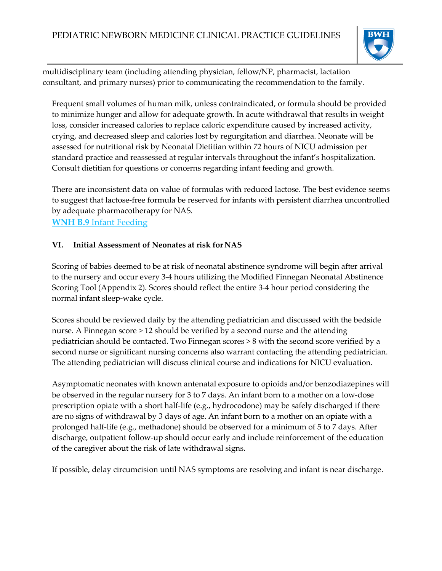

multidisciplinary team (including attending physician, fellow/NP, pharmacist, lactation consultant, and primary nurses) prior to communicating the recommendation to the family.

Frequent small volumes of human milk, unless contraindicated, or formula should be provided to minimize hunger and allow for adequate growth. In acute withdrawal that results in weight loss, consider increased calories to replace caloric expenditure caused by increased activity, crying, and decreased sleep and calories lost by regurgitation and diarrhea. Neonate will be assessed for nutritional risk by Neonatal Dietitian within 72 hours of NICU admission per standard practice and reassessed at regular intervals throughout the infant's hospitalization. Consult dietitian for questions or concerns regarding infant feeding and growth.

There are inconsistent data on value of formulas with reduced lactose. The best evidence seems to suggest that lactose-free formula be reserved for infants with persistent diarrhea uncontrolled by adequate pharmacotherapy for NAS. **WNH B.9** [Infant Feeding](http://www.bwhpikenotes.org/policies/Nursing/CWN_Clinical_Practice_Manual/WNH/WNH_B.9.pdf)

#### **VI. Initial Assessment of Neonates at risk for NAS**

Scoring of babies deemed to be at risk of neonatal abstinence syndrome will begin after arrival to the nursery and occur every 3-4 hours utilizing the Modified Finnegan Neonatal Abstinence Scoring Tool (Appendix 2). Scores should reflect the entire 3-4 hour period considering the normal infant sleep-wake cycle.

Scores should be reviewed daily by the attending pediatrician and discussed with the bedside nurse. A Finnegan score > 12 should be verified by a second nurse and the attending pediatrician should be contacted. Two Finnegan scores > 8 with the second score verified by a second nurse or significant nursing concerns also warrant contacting the attending pediatrician. The attending pediatrician will discuss clinical course and indications for NICU evaluation.

Asymptomatic neonates with known antenatal exposure to opioids and/or benzodiazepines will be observed in the regular nursery for 3 to 7 days. An infant born to a mother on a low-dose prescription opiate with a short half-life (e.g., hydrocodone) may be safely discharged if there are no signs of withdrawal by 3 days of age. An infant born to a mother on an opiate with a prolonged half-life (e.g., methadone) should be observed for a minimum of 5 to 7 days. After discharge, outpatient follow-up should occur early and include reinforcement of the education of the caregiver about the risk of late withdrawal signs.

If possible, delay circumcision until NAS symptoms are resolving and infant is near discharge.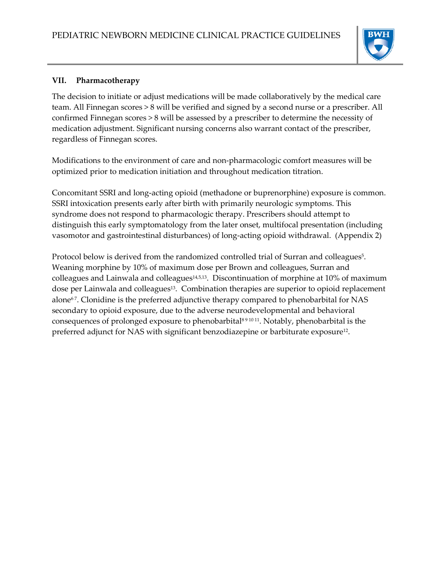

#### **VII. Pharmacotherapy**

The decision to initiate or adjust medications will be made collaboratively by the medical care team. All Finnegan scores > 8 will be verified and signed by a second nurse or a prescriber. All confirmed Finnegan scores > 8 will be assessed by a prescriber to determine the necessity of medication adjustment. Significant nursing concerns also warrant contact of the prescriber, regardless of Finnegan scores.

Modifications to the environment of care and non-pharmacologic comfort measures will be optimized prior to medication initiation and throughout medication titration.

Concomitant SSRI and long-acting opioid (methadone or buprenorphine) exposure is common. SSRI intoxication presents early after birth with primarily neurologic symptoms. This syndrome does not respond to pharmacologic therapy. Prescribers should attempt to distinguish this early symptomatology from the later onset, multifocal presentation (including vasomotor and gastrointestinal disturbances) of long-acting opioid withdrawal. (Appendix 2)

Protocol below is derived from the randomized controlled trial of Surran and colleagues<sup>5</sup>. Weaning morphine by 10% of maximum dose per Brown and colleagues, Surran and colleagues and Lainwala and colleagues<sup>14,5,13</sup>. Discontinuation of morphine at 10% of maximum dose per Lainwala and colleagues<sup>13</sup>. Combination therapies are superior to opioid replacement alone $67$ . Clonidine is the preferred adjunctive therapy compared to phenobarbital for NAS secondary to opioid exposure, due to the adverse neurodevelopmental and behavioral consequences of prolonged exposure to phenobarbital<sup>891011</sup>. Notably, phenobarbital is the preferred adjunct for NAS with significant benzodiazepine or barbiturate exposure<sup>12</sup>.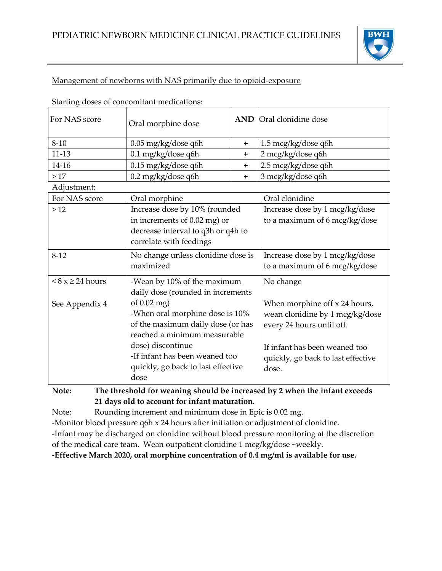

#### Management of newborns with NAS primarily due to opioid-exposure

#### Starting doses of concomitant medications:

| For NAS score | Oral morphine dose           | AND Oral clonidine dose     |
|---------------|------------------------------|-----------------------------|
| $8 - 10$      | $0.05$ mg/kg/dose q6h        | 1.5 mcg/kg/dose q6h         |
| 11-13         | $0.1$ mg/kg/dose q6h         | $2 \text{~mag/kg/dose q6h}$ |
| 14-16         | $0.15$ mg/kg/dose q6h        | 2.5 mcg/kg/dose q6h         |
| >17           | $0.2 \text{ mg/kg/dose q6h}$ | $3 \text{~mag/kg/dose q6h}$ |
| .             |                              |                             |

Adjustment:

| Aujustilleitt.      |                                                                                                                                                                                                                            |                                                                                                                                                                               |  |
|---------------------|----------------------------------------------------------------------------------------------------------------------------------------------------------------------------------------------------------------------------|-------------------------------------------------------------------------------------------------------------------------------------------------------------------------------|--|
| For NAS score       | Oral morphine                                                                                                                                                                                                              | Oral clonidine                                                                                                                                                                |  |
| >12                 | Increase dose by 10% (rounded<br>in increments of 0.02 mg) or<br>decrease interval to q3h or q4h to<br>correlate with feedings                                                                                             | Increase dose by 1 mcg/kg/dose<br>to a maximum of 6 mcg/kg/dose                                                                                                               |  |
| $8-12$              | No change unless clonidine dose is<br>maximized                                                                                                                                                                            | Increase dose by 1 mcg/kg/dose<br>to a maximum of 6 mcg/kg/dose                                                                                                               |  |
| $8 \times 24$ hours | -Wean by 10% of the maximum<br>daily dose (rounded in increments                                                                                                                                                           | No change                                                                                                                                                                     |  |
| See Appendix 4      | of $0.02$ mg)<br>-When oral morphine dose is 10%<br>of the maximum daily dose (or has<br>reached a minimum measurable<br>dose) discontinue<br>-If infant has been weaned too<br>quickly, go back to last effective<br>dose | When morphine off x 24 hours,<br>wean clonidine by 1 mcg/kg/dose<br>every 24 hours until off.<br>If infant has been weaned too<br>quickly, go back to last effective<br>dose. |  |

**Note: The threshold for weaning should be increased by 2 when the infant exceeds 21 days old to account for infant maturation.**

Note: Rounding increment and minimum dose in Epic is 0.02 mg.

-Monitor blood pressure q6h x 24 hours after initiation or adjustment of clonidine.

-Infant may be discharged on clonidine without blood pressure monitoring at the discretion of the medical care team. Wean outpatient clonidine 1 mcg/kg/dose ~weekly.

-**Effective March 2020, oral morphine concentration of 0.4 mg/ml is available for use.**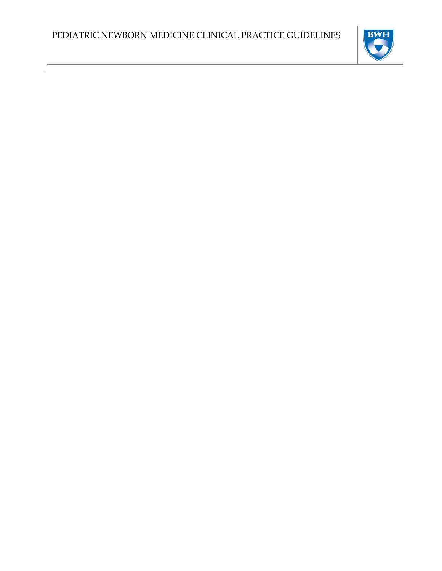-

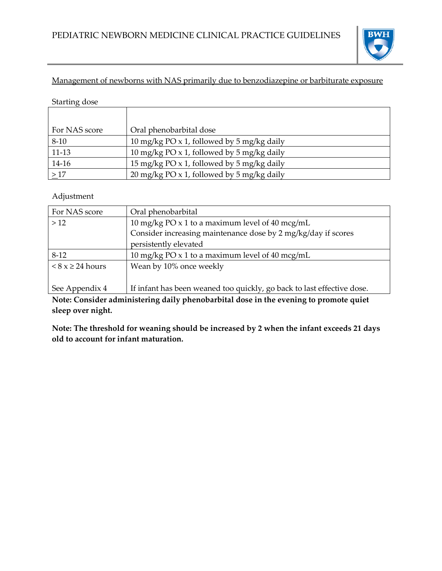

# Management of newborns with NAS primarily due to benzodiazepine or barbiturate exposure

#### Starting dose

| For NAS score | Oral phenobarbital dose                    |
|---------------|--------------------------------------------|
| $8 - 10$      | 10 mg/kg PO x 1, followed by 5 mg/kg daily |
| $11-13$       | 10 mg/kg PO x 1, followed by 5 mg/kg daily |
| 14-16         | 15 mg/kg PO x 1, followed by 5 mg/kg daily |
| $\geq$ 17     | 20 mg/kg PO x 1, followed by 5 mg/kg daily |

#### Adjustment

| For NAS score       | Oral phenobarbital                                                     |
|---------------------|------------------------------------------------------------------------|
| $>12$               | 10 mg/kg PO x 1 to a maximum level of 40 mcg/mL                        |
|                     | Consider increasing maintenance dose by 2 mg/kg/day if scores          |
|                     | persistently elevated                                                  |
| $8-12$              | 10 mg/kg PO $\times$ 1 to a maximum level of 40 mcg/mL                 |
| $8 \times 24$ hours | Wean by 10% once weekly                                                |
|                     |                                                                        |
| See Appendix 4      | If infant has been weaned too quickly, go back to last effective dose. |

**Note: Consider administering daily phenobarbital dose in the evening to promote quiet sleep over night.**

**Note: The threshold for weaning should be increased by 2 when the infant exceeds 21 days old to account for infant maturation.**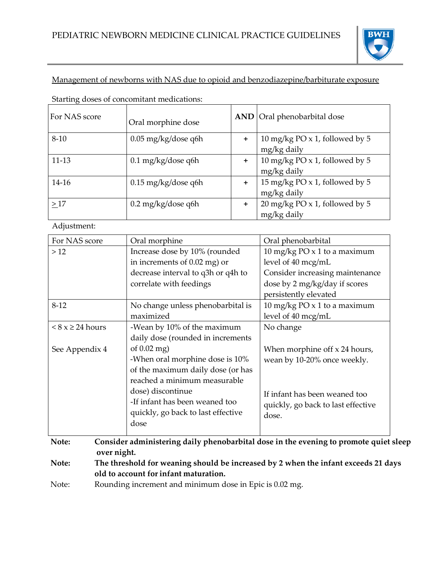

#### Management of newborns with NAS due to opioid and benzodiazepine/barbiturate exposure

| For NAS score | Oral morphine dose           |           | AND Oral phenobarbital dose                          |
|---------------|------------------------------|-----------|------------------------------------------------------|
| $8 - 10$      | $0.05$ mg/kg/dose q6h        | $\ddot{}$ | 10 mg/kg PO $\times$ 1, followed by 5<br>mg/kg daily |
| $11 - 13$     | $0.1$ mg/kg/dose q6h         | $+$       | 10 mg/kg PO x 1, followed by 5<br>mg/kg daily        |
| $14-16$       | $0.15$ mg/kg/dose q6h        | ÷.        | 15 mg/kg PO x 1, followed by 5<br>mg/kg daily        |
| >17           | $0.2 \text{ mg/kg/dose q6h}$ | $\ddot{}$ | 20 mg/kg PO x 1, followed by 5<br>mg/kg daily        |

Starting doses of concomitant medications:

Adjustment:

| For NAS score       | Oral morphine                      | Oral phenobarbital                  |
|---------------------|------------------------------------|-------------------------------------|
| >12                 | Increase dose by 10% (rounded      | 10 mg/kg $PO \times 1$ to a maximum |
|                     | in increments of 0.02 mg) or       | level of 40 mcg/mL                  |
|                     | decrease interval to q3h or q4h to | Consider increasing maintenance     |
|                     | correlate with feedings            | dose by 2 mg/kg/day if scores       |
|                     |                                    | persistently elevated               |
| $8-12$              | No change unless phenobarbital is  | 10 mg/kg PO $\times$ 1 to a maximum |
|                     | maximized                          | level of 40 mcg/mL                  |
| $8 \times 24$ hours | -Wean by 10% of the maximum        | No change                           |
|                     | daily dose (rounded in increments  |                                     |
| See Appendix 4      | of $0.02$ mg)                      | When morphine off x 24 hours,       |
|                     | -When oral morphine dose is 10%    | wean by 10-20% once weekly.         |
|                     | of the maximum daily dose (or has  |                                     |
|                     | reached a minimum measurable       |                                     |
|                     | dose) discontinue                  | If infant has been weaned too       |
|                     | -If infant has been weaned too     | quickly, go back to last effective  |
|                     | quickly, go back to last effective | dose.                               |
|                     | dose                               |                                     |

**over night.**

 **Note: The threshold for weaning should be increased by 2 when the infant exceeds 21 days old to account for infant maturation.**

Note: Rounding increment and minimum dose in Epic is 0.02 mg.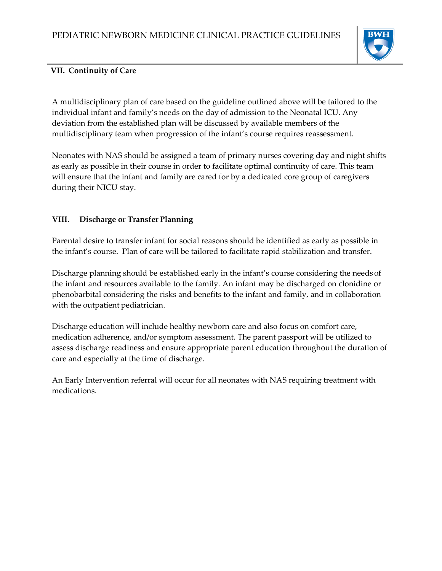

#### **VII. Continuity of Care**

A multidisciplinary plan of care based on the guideline outlined above will be tailored to the individual infant and family's needs on the day of admission to the Neonatal ICU. Any deviation from the established plan will be discussed by available members of the multidisciplinary team when progression of the infant's course requires reassessment.

Neonates with NAS should be assigned a team of primary nurses covering day and night shifts as early as possible in their course in order to facilitate optimal continuity of care. This team will ensure that the infant and family are cared for by a dedicated core group of caregivers during their NICU stay.

#### **VIII. Discharge or Transfer Planning**

Parental desire to transfer infant for social reasons should be identified as early as possible in the infant's course. Plan of care will be tailored to facilitate rapid stabilization and transfer.

Discharge planning should be established early in the infant's course considering the needsof the infant and resources available to the family. An infant may be discharged on clonidine or phenobarbital considering the risks and benefits to the infant and family, and in collaboration with the outpatient pediatrician.

Discharge education will include healthy newborn care and also focus on comfort care, medication adherence, and/or symptom assessment. The parent passport will be utilized to assess discharge readiness and ensure appropriate parent education throughout the duration of care and especially at the time of discharge.

An Early Intervention referral will occur for all neonates with NAS requiring treatment with medications.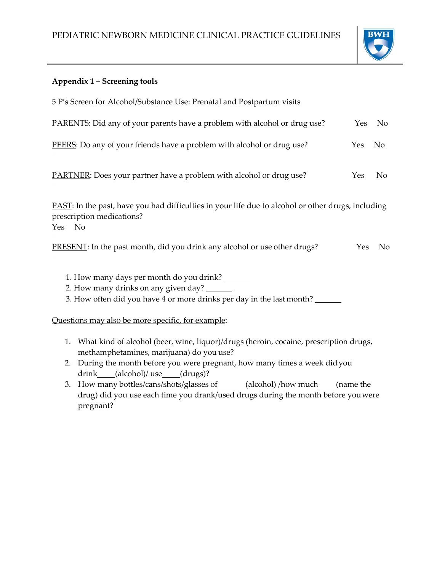

# **Appendix 1 – Screening tools**

| 5 P's Screen for Alcohol/Substance Use: Prenatal and Postpartum visits                                                                                            |            |                |
|-------------------------------------------------------------------------------------------------------------------------------------------------------------------|------------|----------------|
| PARENTS: Did any of your parents have a problem with alcohol or drug use?                                                                                         | Yes        | No.            |
| PEERS: Do any of your friends have a problem with alcohol or drug use?                                                                                            | Yes        | N <sub>0</sub> |
| PARTNER: Does your partner have a problem with alcohol or drug use?                                                                                               | Yes        | N <sub>0</sub> |
| <b>PAST</b> : In the past, have you had difficulties in your life due to alcohol or other drugs, including<br>prescription medications?<br><b>No</b><br>Yes       |            |                |
| <b>PRESENT:</b> In the past month, did you drink any alcohol or use other drugs?                                                                                  | <b>Yes</b> | No             |
| 1. How many days per month do you drink?<br>2. How many drinks on any given day? _______<br>3. How often did you have 4 or more drinks per day in the last month? |            |                |
| Questions may also be more specific, for example:                                                                                                                 |            |                |

- 1. What kind of alcohol (beer, wine, liquor)/drugs (heroin, cocaine, prescription drugs, methamphetamines, marijuana) do you use?
- 2. During the month before you were pregnant, how many times a week didyou drink (alcohol)/ use (drugs)?
- 3. How many bottles/cans/shots/glasses of \_\_\_\_\_(alcohol) /how much \_\_\_\_(name the drug) did you use each time you drank/used drugs during the month before youwere pregnant?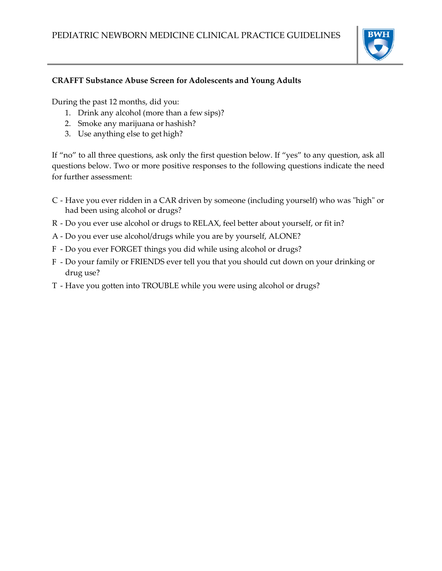

#### **CRAFFT Substance Abuse Screen for Adolescents and Young Adults**

During the past 12 months, did you:

- 1. Drink any alcohol (more than a few sips)?
- 2. Smoke any marijuana or hashish?
- 3. Use anything else to get high?

If "no" to all three questions, ask only the first question below. If "yes" to any question, ask all questions below. Two or more positive responses to the following questions indicate the need for further assessment:

- C Have you ever ridden in a CAR driven by someone (including yourself) who was "high" or had been using alcohol or drugs?
- R Do you ever use alcohol or drugs to RELAX, feel better about yourself, or fit in?
- A Do you ever use alcohol/drugs while you are by yourself, ALONE?
- F Do you ever FORGET things you did while using alcohol or drugs?
- F Do your family or FRIENDS ever tell you that you should cut down on your drinking or drug use?
- T Have you gotten into TROUBLE while you were using alcohol or drugs?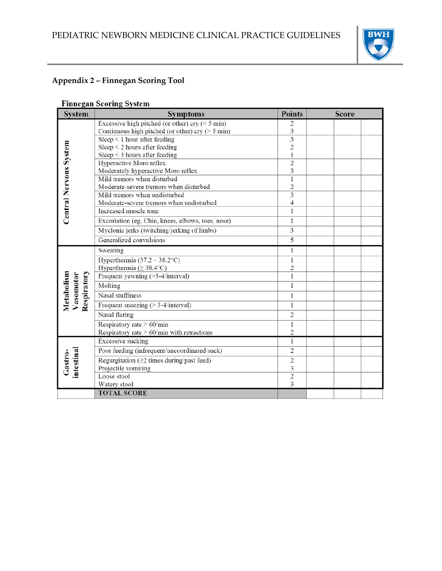

# **Appendix 2 – Finnegan Scoring Tool**

# **Finnegan Scoring System**

| <b>System</b>                          | <b>Symptoms</b>                                           | <b>Points</b>           | <b>Score</b> |
|----------------------------------------|-----------------------------------------------------------|-------------------------|--------------|
|                                        | Excessive high pitched (or other) cry $(< 5 \text{ min})$ | 2                       |              |
|                                        | Continuous high pitched (or other) cry ( $> 5$ min)       | 3                       |              |
|                                        | $Sleep < 1 hour$ after feeding                            | 3                       |              |
|                                        | $Sleep < 2 hours$ after feeding                           | $\overline{c}$          |              |
|                                        | $Sleep < 3 hours$ after feeding                           | $\mathbf{1}$            |              |
|                                        | Hyperactive Moro reflex                                   | $\overline{2}$          |              |
| <b>Central Nervous System</b>          | Moderately hyperactive Moro reflex                        | 3                       |              |
|                                        | Mild tremors when disturbed                               | 1                       |              |
|                                        | Moderate-severe tremors when disturbed                    | $\overline{2}$          |              |
|                                        | Mild tremors when undisturbed                             | 3                       |              |
|                                        | Moderate-severe tremors when undisturbed                  | $\overline{4}$          |              |
|                                        | Increased muscle tone                                     | $\mathbf{1}$            |              |
|                                        | Excoriation (eg. Chin, knees, elbows, toes, nose)         | 1                       |              |
|                                        | Myclonic jerks (twitching/jerking of limbs)               | 3                       |              |
|                                        | Generalized convulsions                                   | 5                       |              |
|                                        | Sweating                                                  | $\mathbf{1}$            |              |
|                                        | Hyperthermia $(37.2 - 38.2$ °C)                           | 1                       |              |
|                                        | Hyperthermia ( $\geq$ 38.4°C)                             | $\overline{2}$          |              |
|                                        | Frequent yawning (>3-4/interval)                          | 1                       |              |
| Metabolism<br>Respiratory<br>Vasomotor | Molting                                                   | $\mathbf{1}$            |              |
|                                        | Nasal stuffiness                                          | 1                       |              |
|                                        | Frequent sneezing $($ > 3-4/interval)                     | 1                       |              |
|                                        | Nasal flaring                                             | $\overline{2}$          |              |
|                                        | Respiratory rate $> 60$ /min                              | 1                       |              |
|                                        | Respiratory rate $> 60$ /min with retractions             | $\overline{c}$          |              |
|                                        | Excessive sucking                                         | $\mathbf{1}$            |              |
|                                        | Poor feeding (infrequent/uncoordinated suck)              | $\overline{2}$          |              |
| intestinal<br>Gastro-                  | Regurgitation ( $\geq$ 2 times during/past feed)          | $\overline{2}$          |              |
|                                        | Projectile vomiting                                       | $\overline{3}$          |              |
|                                        | Loose stool                                               | $\overline{c}$          |              |
|                                        | Watery stool                                              | $\overline{\mathbf{3}}$ |              |
|                                        | <b>TOTAL SCORE</b>                                        |                         |              |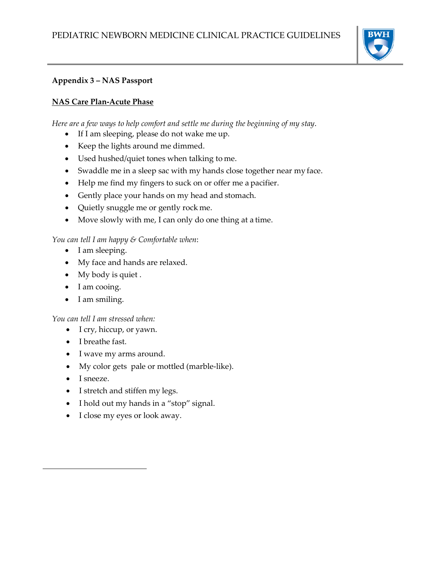

#### **Appendix 3 – NAS Passport**

#### **NAS Care Plan-Acute Phase**

*Here are a few ways to help comfort and settle me during the beginning of my stay*.

- If I am sleeping, please do not wake me up.
- Keep the lights around me dimmed.
- Used hushed/quiet tones when talking to me.
- Swaddle me in a sleep sac with my hands close together near my face.
- Help me find my fingers to suck on or offer me a pacifier.
- Gently place your hands on my head and stomach.
- Quietly snuggle me or gently rock me.
- Move slowly with me, I can only do one thing at a time.

#### *You can tell I am happy & Comfortable when*:

- I am sleeping.
- My face and hands are relaxed.
- My body is quiet .
- I am cooing.
- I am smiling.

#### *You can tell I am stressed when:*

- I cry, hiccup, or yawn.
- I breathe fast.
- I wave my arms around.
- My color gets pale or mottled (marble-like).
- I sneeze.
- I stretch and stiffen my legs.
- I hold out my hands in a "stop" signal.
- I close my eyes or look away.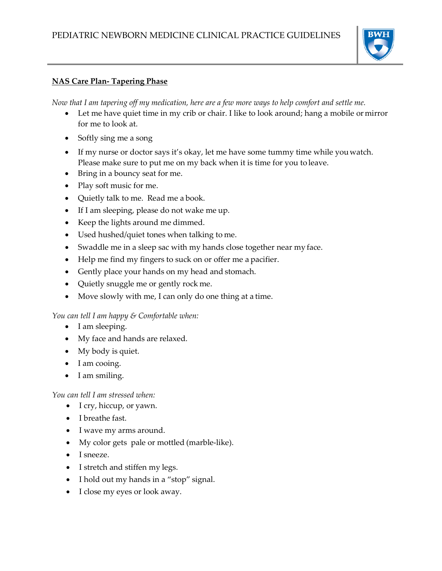

#### **NAS Care Plan- Tapering Phase**

*Now that I am tapering off my medication, here are a few more ways to help comfort and settle me.*

- Let me have quiet time in my crib or chair. I like to look around; hang a mobile or mirror for me to look at.
- Softly sing me a song
- If my nurse or doctor says it's okay, let me have some tummy time while youwatch. Please make sure to put me on my back when it is time for you to leave.
- Bring in a bouncy seat for me.
- Play soft music for me.
- Quietly talk to me. Read me a book.
- If I am sleeping, please do not wake me up.
- Keep the lights around me dimmed.
- Used hushed/quiet tones when talking to me.
- Swaddle me in a sleep sac with my hands close together near my face.
- Help me find my fingers to suck on or offer me a pacifier.
- Gently place your hands on my head and stomach.
- Quietly snuggle me or gently rock me.
- Move slowly with me, I can only do one thing at a time.

#### *You can tell I am happy & Comfortable when:*

- I am sleeping.
- My face and hands are relaxed.
- My body is quiet.
- I am cooing.
- I am smiling.

#### *You can tell I am stressed when:*

- I cry, hiccup, or yawn.
- I breathe fast.
- I wave my arms around.
- My color gets pale or mottled (marble-like).
- I sneeze.
- I stretch and stiffen my legs.
- I hold out my hands in a "stop" signal.
- I close my eyes or look away.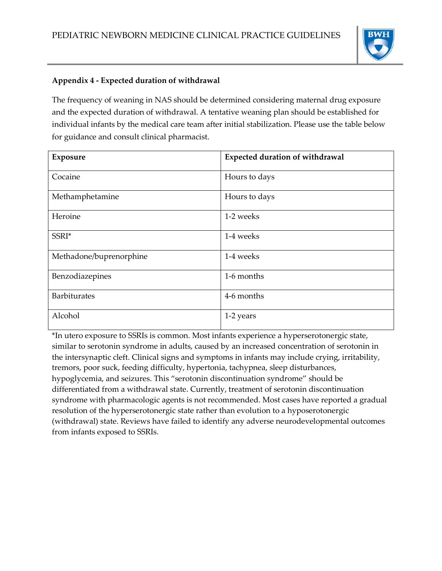

#### **Appendix 4 - Expected duration of withdrawal**

The frequency of weaning in NAS should be determined considering maternal drug exposure and the expected duration of withdrawal. A tentative weaning plan should be established for individual infants by the medical care team after initial stabilization. Please use the table below for guidance and consult clinical pharmacist.

| Exposure                | <b>Expected duration of withdrawal</b> |
|-------------------------|----------------------------------------|
| Cocaine                 | Hours to days                          |
| Methamphetamine         | Hours to days                          |
| Heroine                 | 1-2 weeks                              |
| SSRI*                   | 1-4 weeks                              |
| Methadone/buprenorphine | 1-4 weeks                              |
| Benzodiazepines         | 1-6 months                             |
| <b>Barbiturates</b>     | 4-6 months                             |
| Alcohol                 | 1-2 years                              |

\*In utero exposure to SSRIs is common. Most infants experience a hyperserotonergic state, similar to serotonin syndrome in adults, caused by an increased concentration of serotonin in the intersynaptic cleft. Clinical signs and symptoms in infants may include crying, irritability, tremors, poor suck, feeding difficulty, hypertonia, tachypnea, sleep disturbances, hypoglycemia, and seizures. This "serotonin discontinuation syndrome" should be differentiated from a withdrawal state. Currently, treatment of serotonin discontinuation syndrome with pharmacologic agents is not recommended. Most cases have reported a gradual resolution of the hyperserotonergic state rather than evolution to a hyposerotonergic (withdrawal) state. Reviews have failed to identify any adverse neurodevelopmental outcomes from infants exposed to SSRIs.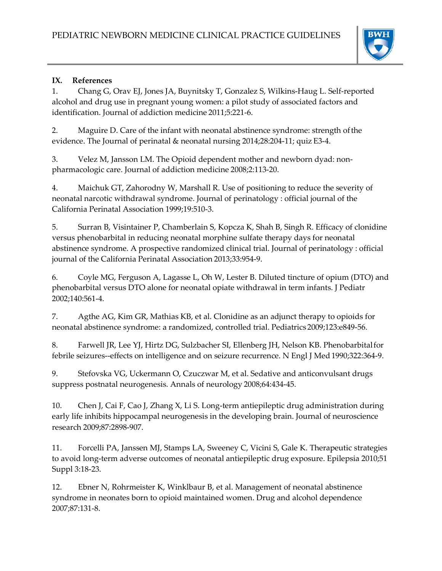

#### **IX. References**

1. Chang G, Orav EJ, Jones JA, Buynitsky T, Gonzalez S, Wilkins-Haug L. Self-reported alcohol and drug use in pregnant young women: a pilot study of associated factors and identification. Journal of addiction medicine 2011;5:221-6.

2. Maguire D. Care of the infant with neonatal abstinence syndrome: strength ofthe evidence. The Journal of perinatal & neonatal nursing 2014;28:204-11; quiz E3-4.

3. Velez M, Jansson LM. The Opioid dependent mother and newborn dyad: nonpharmacologic care. Journal of addiction medicine 2008;2:113-20.

4. Maichuk GT, Zahorodny W, Marshall R. Use of positioning to reduce the severity of neonatal narcotic withdrawal syndrome. Journal of perinatology : official journal of the California Perinatal Association 1999;19:510-3.

5. Surran B, Visintainer P, Chamberlain S, Kopcza K, Shah B, Singh R. Efficacy of clonidine versus phenobarbital in reducing neonatal morphine sulfate therapy days for neonatal abstinence syndrome. A prospective randomized clinical trial. Journal of perinatology : official journal of the California Perinatal Association 2013;33:954-9.

6. Coyle MG, Ferguson A, Lagasse L, Oh W, Lester B. Diluted tincture of opium (DTO) and phenobarbital versus DTO alone for neonatal opiate withdrawal in term infants. J Pediatr 2002;140:561-4.

7. Agthe AG, Kim GR, Mathias KB, et al. Clonidine as an adjunct therapy to opioids for neonatal abstinence syndrome: a randomized, controlled trial. Pediatrics 2009;123:e849-56.

8. Farwell JR, Lee YJ, Hirtz DG, Sulzbacher SI, Ellenberg JH, Nelson KB. Phenobarbitalfor febrile seizures--effects on intelligence and on seizure recurrence. N Engl J Med 1990;322:364-9.

9. Stefovska VG, Uckermann O, Czuczwar M, et al. Sedative and anticonvulsant drugs suppress postnatal neurogenesis. Annals of neurology 2008;64:434-45.

10. Chen J, Cai F, Cao J, Zhang X, Li S. Long-term antiepileptic drug administration during early life inhibits hippocampal neurogenesis in the developing brain. Journal of neuroscience research 2009;87:2898-907.

11. Forcelli PA, Janssen MJ, Stamps LA, Sweeney C, Vicini S, Gale K. Therapeutic strategies to avoid long-term adverse outcomes of neonatal antiepileptic drug exposure. Epilepsia 2010;51 Suppl 3:18-23.

12. Ebner N, Rohrmeister K, Winklbaur B, et al. Management of neonatal abstinence syndrome in neonates born to opioid maintained women. Drug and alcohol dependence 2007;87:131-8.